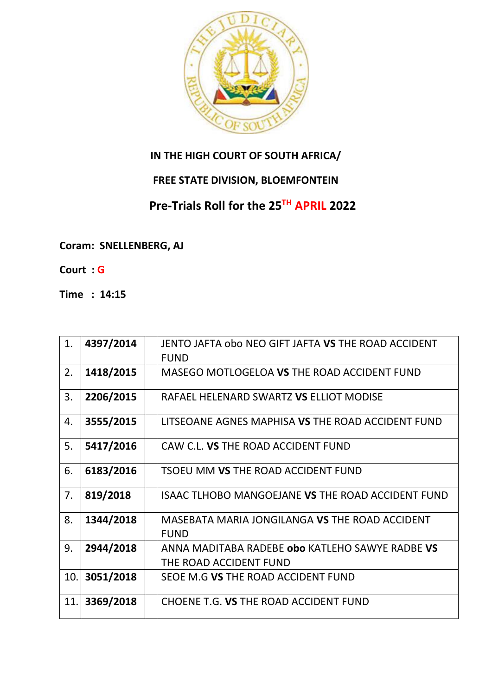

## **IN THE HIGH COURT OF SOUTH AFRICA/**

## **FREE STATE DIVISION, BLOEMFONTEIN**

## **Pre-Trials Roll for the 25TH APRIL 2022**

## **Coram: SNELLENBERG, AJ**

- **Court : G**
- **Time : 14:15**

| 1.  | 4397/2014 | JENTO JAFTA obo NEO GIFT JAFTA VS THE ROAD ACCIDENT      |
|-----|-----------|----------------------------------------------------------|
|     |           | <b>FUND</b>                                              |
| 2.  | 1418/2015 | MASEGO MOTLOGELOA VS THE ROAD ACCIDENT FUND              |
|     |           |                                                          |
| 3.  | 2206/2015 | RAFAEL HELENARD SWARTZ VS ELLIOT MODISE                  |
| 4.  | 3555/2015 | LITSEOANE AGNES MAPHISA VS THE ROAD ACCIDENT FUND        |
| 5.  | 5417/2016 | CAW C.L. VS THE ROAD ACCIDENT FUND                       |
| 6.  | 6183/2016 | <b>TSOEU MM VS THE ROAD ACCIDENT FUND</b>                |
| 7.  | 819/2018  | <b>ISAAC TLHOBO MANGOEJANE VS THE ROAD ACCIDENT FUND</b> |
| 8.  | 1344/2018 | MASEBATA MARIA JONGILANGA VS THE ROAD ACCIDENT           |
|     |           | <b>FUND</b>                                              |
| 9.  | 2944/2018 | ANNA MADITABA RADEBE obo KATLEHO SAWYE RADBE VS          |
|     |           | THE ROAD ACCIDENT FUND                                   |
| 10. | 3051/2018 | SEOE M.G VS THE ROAD ACCIDENT FUND                       |
| 11. | 3369/2018 | CHOENE T.G. VS THE ROAD ACCIDENT FUND                    |
|     |           |                                                          |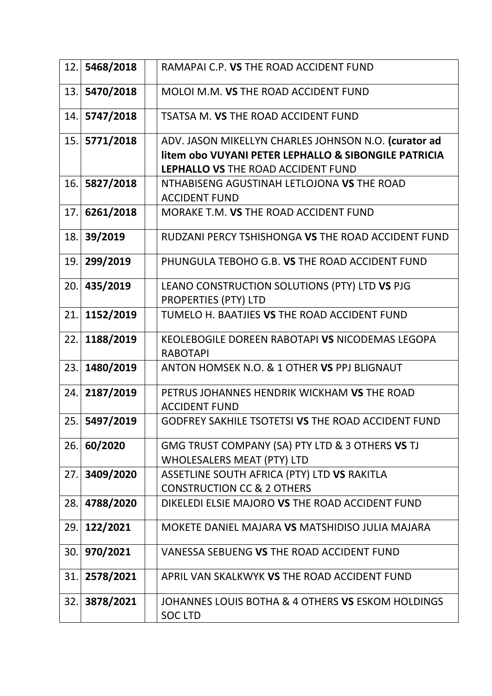| 12. | 5468/2018 | RAMAPAI C.P. VS THE ROAD ACCIDENT FUND                              |
|-----|-----------|---------------------------------------------------------------------|
| 13. | 5470/2018 | MOLOI M.M. VS THE ROAD ACCIDENT FUND                                |
| 14. | 5747/2018 | TSATSA M. VS THE ROAD ACCIDENT FUND                                 |
| 15. | 5771/2018 | ADV. JASON MIKELLYN CHARLES JOHNSON N.O. (curator ad                |
|     |           | litem obo VUYANI PETER LEPHALLO & SIBONGILE PATRICIA                |
|     |           | LEPHALLO VS THE ROAD ACCIDENT FUND                                  |
| 16. | 5827/2018 | NTHABISENG AGUSTINAH LETLOJONA VS THE ROAD                          |
|     |           | <b>ACCIDENT FUND</b>                                                |
| 17. | 6261/2018 | MORAKE T.M. VS THE ROAD ACCIDENT FUND                               |
| 18. | 39/2019   | RUDZANI PERCY TSHISHONGA VS THE ROAD ACCIDENT FUND                  |
| 19. | 299/2019  | PHUNGULA TEBOHO G.B. VS THE ROAD ACCIDENT FUND                      |
| 20. | 435/2019  | LEANO CONSTRUCTION SOLUTIONS (PTY) LTD VS PJG                       |
|     |           | <b>PROPERTIES (PTY) LTD</b>                                         |
| 21. | 1152/2019 | TUMELO H. BAATJIES VS THE ROAD ACCIDENT FUND                        |
| 22. | 1188/2019 | KEOLEBOGILE DOREEN RABOTAPI VS NICODEMAS LEGOPA<br><b>RABOTAPI</b>  |
| 23. | 1480/2019 | ANTON HOMSEK N.O. & 1 OTHER VS PPJ BLIGNAUT                         |
|     |           |                                                                     |
| 24. | 2187/2019 | PETRUS JOHANNES HENDRIK WICKHAM VS THE ROAD<br><b>ACCIDENT FUND</b> |
| 25. | 5497/2019 | <b>GODFREY SAKHILE TSOTETSI VS THE ROAD ACCIDENT FUND</b>           |
| 26. | 60/2020   | GMG TRUST COMPANY (SA) PTY LTD & 3 OTHERS VS TJ                     |
|     |           | <b>WHOLESALERS MEAT (PTY) LTD</b>                                   |
| 27. | 3409/2020 | ASSETLINE SOUTH AFRICA (PTY) LTD VS RAKITLA                         |
|     |           | <b>CONSTRUCTION CC &amp; 2 OTHERS</b>                               |
| 28. | 4788/2020 | DIKELEDI ELSIE MAJORO VS THE ROAD ACCIDENT FUND                     |
| 29. | 122/2021  | MOKETE DANIEL MAJARA VS MATSHIDISO JULIA MAJARA                     |
| 30. | 970/2021  | VANESSA SEBUENG VS THE ROAD ACCIDENT FUND                           |
| 31. | 2578/2021 | APRIL VAN SKALKWYK VS THE ROAD ACCIDENT FUND                        |
| 32. | 3878/2021 | JOHANNES LOUIS BOTHA & 4 OTHERS VS ESKOM HOLDINGS<br><b>SOC LTD</b> |